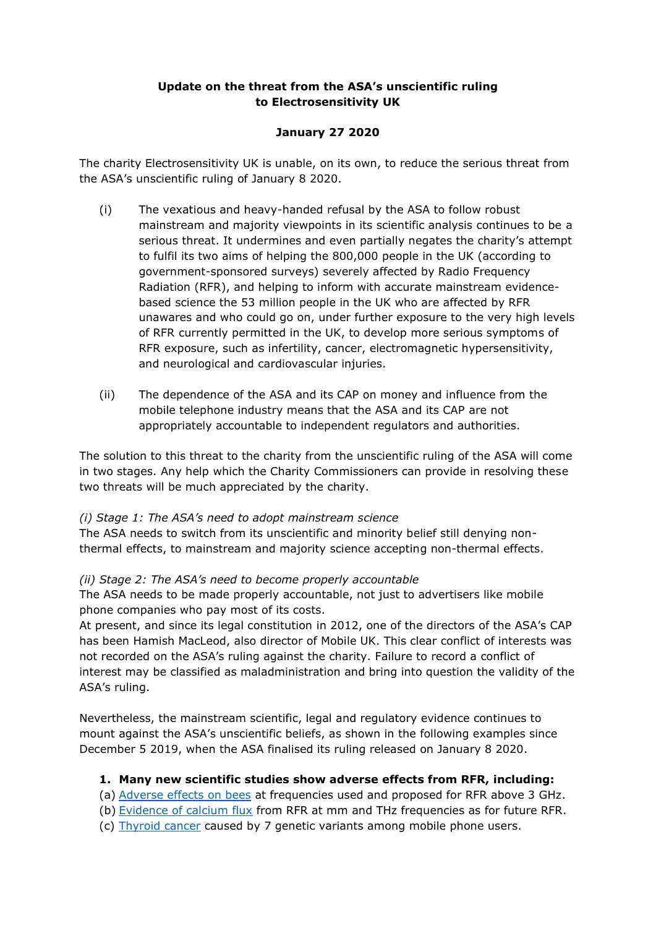# **Update on the threat from the ASA's unscientific ruling to Electrosensitivity UK**

# **January 27 2020**

The charity Electrosensitivity UK is unable, on its own, to reduce the serious threat from the ASA's unscientific ruling of January 8 2020.

- (i) The vexatious and heavy-handed refusal by the ASA to follow robust mainstream and majority viewpoints in its scientific analysis continues to be a serious threat. It undermines and even partially negates the charity's attempt to fulfil its two aims of helping the 800,000 people in the UK (according to government-sponsored surveys) severely affected by Radio Frequency Radiation (RFR), and helping to inform with accurate mainstream evidencebased science the 53 million people in the UK who are affected by RFR unawares and who could go on, under further exposure to the very high levels of RFR currently permitted in the UK, to develop more serious symptoms of RFR exposure, such as infertility, cancer, electromagnetic hypersensitivity, and neurological and cardiovascular injuries.
- (ii) The dependence of the ASA and its CAP on money and influence from the mobile telephone industry means that the ASA and its CAP are not appropriately accountable to independent regulators and authorities.

The solution to this threat to the charity from the unscientific ruling of the ASA will come in two stages. Any help which the Charity Commissioners can provide in resolving these two threats will be much appreciated by the charity.

#### *(i) Stage 1: The ASA's need to adopt mainstream science*

The ASA needs to switch from its unscientific and minority belief still denying nonthermal effects, to mainstream and majority science accepting non-thermal effects.

#### *(ii) Stage 2: The ASA's need to become properly accountable*

The ASA needs to be made properly accountable, not just to advertisers like mobile phone companies who pay most of its costs.

At present, and since its legal constitution in 2012, one of the directors of the ASA's CAP has been Hamish MacLeod, also director of Mobile UK. This clear conflict of interests was not recorded on the ASA's ruling against the charity. Failure to record a conflict of interest may be classified as maladministration and bring into question the validity of the ASA's ruling.

Nevertheless, the mainstream scientific, legal and regulatory evidence continues to mount against the ASA's unscientific beliefs, as shown in the following examples since December 5 2019, when the ASA finalised its ruling released on January 8 2020.

#### **1. Many new scientific studies show adverse effects from RFR, including:**

- (a) [Adverse effects on bees](https://www.nature.com/articles/s41598-019-56948-0) at frequencies used and proposed for RFR above 3 GHz.
- (b) [Evidence of calcium flux](https://ieeexplore.ieee.org/document/8952692) from RFR at mm and THz frequencies as for future RFR.
- (c) [Thyroid cancer](https://www.sciencedirect.com/science/article/abs/pii/S0013935119308102) caused by 7 genetic variants among mobile phone users.